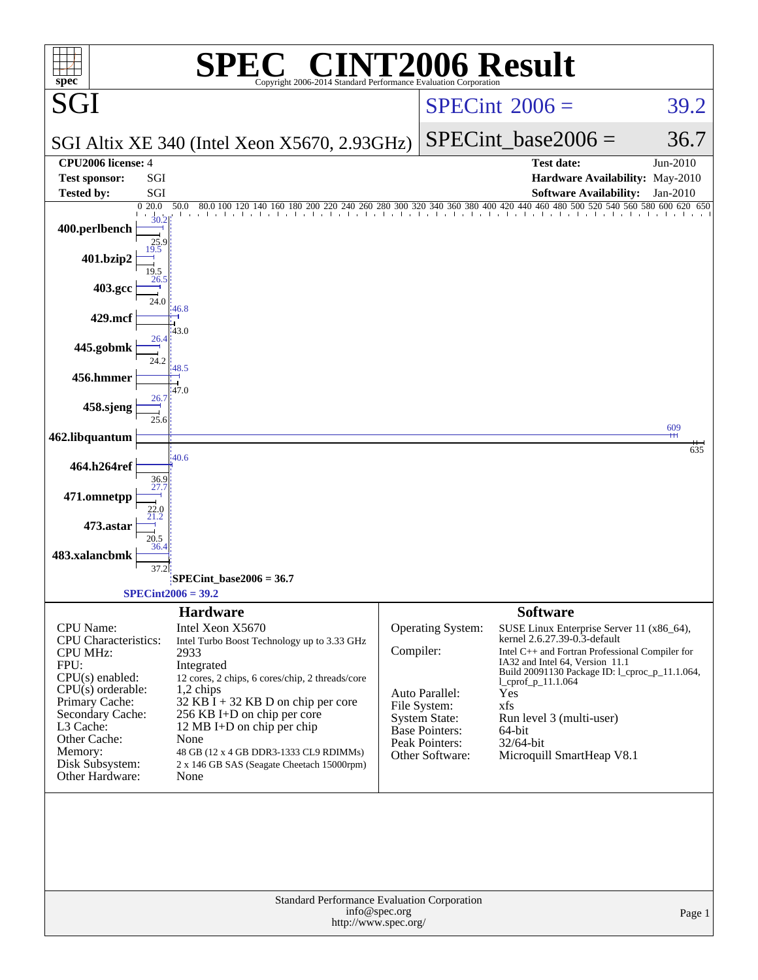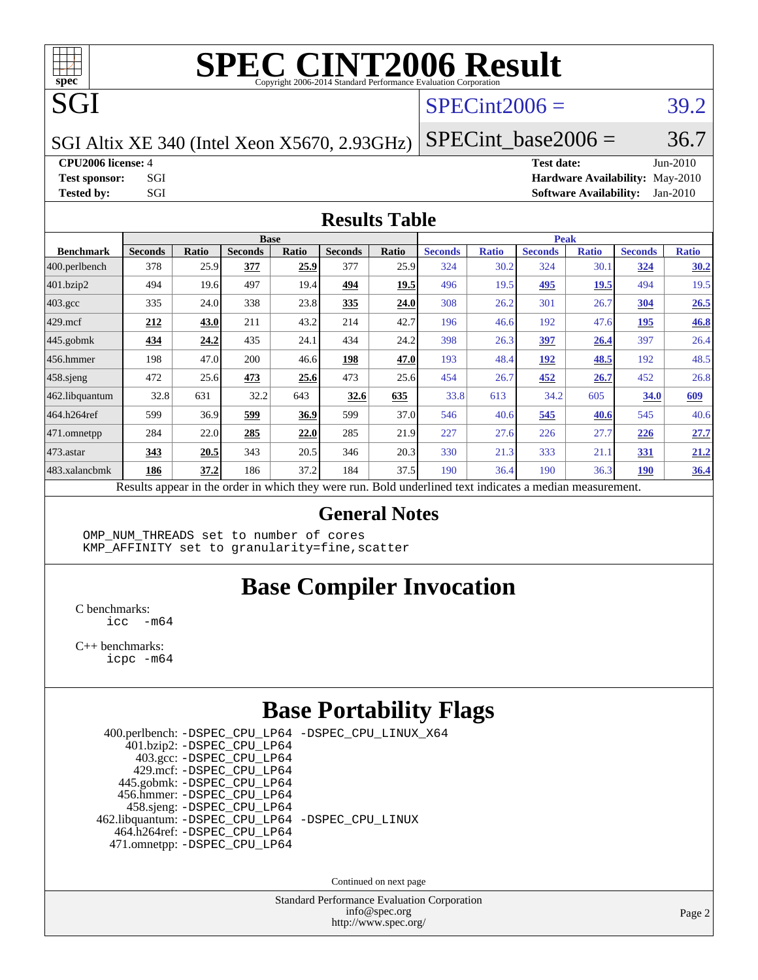

# **[SPEC CINT2006 Result](http://www.spec.org/auto/cpu2006/Docs/result-fields.html#SPECCINT2006Result)**

 $SPECint2006 = 39.2$  $SPECint2006 = 39.2$ 

SGI Altix XE 340 (Intel Xeon X5670, 2.93GHz)

**[CPU2006 license:](http://www.spec.org/auto/cpu2006/Docs/result-fields.html#CPU2006license)** 4 **[Test date:](http://www.spec.org/auto/cpu2006/Docs/result-fields.html#Testdate)** Jun-2010 **[Test sponsor:](http://www.spec.org/auto/cpu2006/Docs/result-fields.html#Testsponsor)** SGI **[Hardware Availability:](http://www.spec.org/auto/cpu2006/Docs/result-fields.html#HardwareAvailability)** May-2010 **[Tested by:](http://www.spec.org/auto/cpu2006/Docs/result-fields.html#Testedby)** SGI SOFTWARE AVAILABILITY: Jan-2010

 $SPECTnt\_base2006 = 36.7$ 

#### **[Results Table](http://www.spec.org/auto/cpu2006/Docs/result-fields.html#ResultsTable)**

|                  | <b>Base</b>                                                                                              |              |                |       |                |       | <b>Peak</b>    |              |                |              |                |              |
|------------------|----------------------------------------------------------------------------------------------------------|--------------|----------------|-------|----------------|-------|----------------|--------------|----------------|--------------|----------------|--------------|
| <b>Benchmark</b> | <b>Seconds</b>                                                                                           | <b>Ratio</b> | <b>Seconds</b> | Ratio | <b>Seconds</b> | Ratio | <b>Seconds</b> | <b>Ratio</b> | <b>Seconds</b> | <b>Ratio</b> | <b>Seconds</b> | <b>Ratio</b> |
| 400.perlbench    | 378                                                                                                      | 25.9         | 377            | 25.9  | 377            | 25.9  | 324            | 30.2         | 324            | 30.1         | 324            | 30.2         |
| 401.bzip2        | 494                                                                                                      | 19.6         | 497            | 19.4  | 494            | 19.5  | 496            | 19.5         | 495            | 19.5         | 494            | 19.5         |
| $403.\text{gcc}$ | 335                                                                                                      | 24.0         | 338            | 23.8  | 335            | 24.0  | 308            | 26.2         | 301            | 26.7         | <b>304</b>     | 26.5         |
| $429$ .mcf       | 212                                                                                                      | 43.0         | 211            | 43.2  | 214            | 42.7  | 196            | 46.6         | 192            | 47.6         | 195            | 46.8         |
| $445$ .gobmk     | 434                                                                                                      | 24.2         | 435            | 24.1  | 434            | 24.2  | 398            | 26.3         | 397            | 26.4         | 397            | 26.4         |
| $ 456$ .hmmer    | 198                                                                                                      | 47.0         | 200            | 46.6  | 198            | 47.0  | 193            | 48.4         | 192            | 48.5         | 192            | 48.5         |
| $458$ .sjeng     | 472                                                                                                      | 25.6         | 473            | 25.6  | 473            | 25.6  | 454            | 26.7         | 452            | 26.7         | 452            | 26.8         |
| 462.libquantum   | 32.8                                                                                                     | 631          | 32.2           | 643   | 32.6           | 635   | 33.8           | 613          | 34.2           | 605          | 34.0           | 609          |
| 464.h264ref      | 599                                                                                                      | 36.9         | 599            | 36.9  | 599            | 37.0  | 546            | 40.6         | 545            | 40.6         | 545            | 40.6         |
| 471.omnetpp      | 284                                                                                                      | 22.0         | 285            | 22.0  | 285            | 21.9  | 227            | 27.6         | 226            | 27.7         | 226            | 27.7         |
| $473$ . astar    | 343                                                                                                      | 20.5         | 343            | 20.5  | 346            | 20.3  | 330            | 21.3         | 333            | 21.1         | 331            | 21.2         |
| 483.xalancbmk    | 186                                                                                                      | 37.2         | 186            | 37.2  | 184            | 37.5  | 190            | 36.4         | 190            | 36.3         | <b>190</b>     | 36.4         |
|                  | Results appear in the order in which they were run. Bold underlined text indicates a median measurement. |              |                |       |                |       |                |              |                |              |                |              |

#### **[General Notes](http://www.spec.org/auto/cpu2006/Docs/result-fields.html#GeneralNotes)**

OMP NUM THREADS set to number of cores KMP\_AFFINITY set to granularity=fine,scatter

## **[Base Compiler Invocation](http://www.spec.org/auto/cpu2006/Docs/result-fields.html#BaseCompilerInvocation)**

[C benchmarks](http://www.spec.org/auto/cpu2006/Docs/result-fields.html#Cbenchmarks):  $\text{icc}$   $-\text{m64}$ 

[C++ benchmarks:](http://www.spec.org/auto/cpu2006/Docs/result-fields.html#CXXbenchmarks) [icpc -m64](http://www.spec.org/cpu2006/results/res2010q3/cpu2006-20100627-12022.flags.html#user_CXXbase_intel_icpc_64bit_fc66a5337ce925472a5c54ad6a0de310)

#### **[Base Portability Flags](http://www.spec.org/auto/cpu2006/Docs/result-fields.html#BasePortabilityFlags)**

| 400.perlbench: -DSPEC_CPU_LP64 -DSPEC_CPU_LINUX_X64 |  |
|-----------------------------------------------------|--|
| 401.bzip2: -DSPEC_CPU_LP64                          |  |
| 403.gcc: -DSPEC_CPU_LP64                            |  |
| 429.mcf: -DSPEC CPU LP64                            |  |
| 445.gobmk: -DSPEC_CPU_LP64                          |  |
| 456.hmmer: - DSPEC CPU LP64                         |  |
| 458.sjeng: -DSPEC_CPU_LP64                          |  |
| 462.libquantum: -DSPEC_CPU_LP64 -DSPEC_CPU_LINUX    |  |
| 464.h264ref: -DSPEC CPU LP64                        |  |
| 471.omnetpp: -DSPEC_CPU_LP64                        |  |
|                                                     |  |

Continued on next page

Standard Performance Evaluation Corporation [info@spec.org](mailto:info@spec.org) <http://www.spec.org/>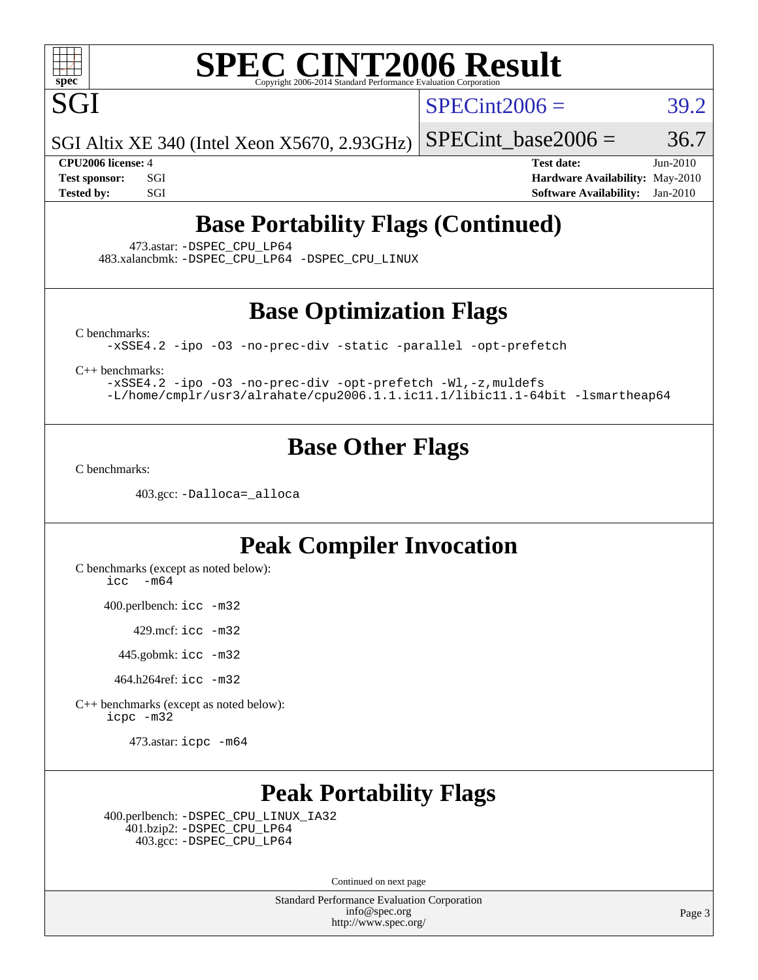

SGI

# **[SPEC CINT2006 Result](http://www.spec.org/auto/cpu2006/Docs/result-fields.html#SPECCINT2006Result)**

 $SPECint2006 = 39.2$  $SPECint2006 = 39.2$ 

SGI Altix XE 340 (Intel Xeon X5670, 2.93GHz)

**[CPU2006 license:](http://www.spec.org/auto/cpu2006/Docs/result-fields.html#CPU2006license)** 4 **[Test date:](http://www.spec.org/auto/cpu2006/Docs/result-fields.html#Testdate)** Jun-2010 **[Test sponsor:](http://www.spec.org/auto/cpu2006/Docs/result-fields.html#Testsponsor)** SGI **[Hardware Availability:](http://www.spec.org/auto/cpu2006/Docs/result-fields.html#HardwareAvailability)** May-2010 **[Tested by:](http://www.spec.org/auto/cpu2006/Docs/result-fields.html#Testedby)** SGI SOL SERVICE SERVICE SERVICE 2010 SOFtware Availability: Jan-2010

SPECint base2006 =  $36.7$ 

### **[Base Portability Flags \(Continued\)](http://www.spec.org/auto/cpu2006/Docs/result-fields.html#BasePortabilityFlags)**

473.astar: [-DSPEC\\_CPU\\_LP64](http://www.spec.org/cpu2006/results/res2010q3/cpu2006-20100627-12022.flags.html#suite_basePORTABILITY473_astar_DSPEC_CPU_LP64)

483.xalancbmk: [-DSPEC\\_CPU\\_LP64](http://www.spec.org/cpu2006/results/res2010q3/cpu2006-20100627-12022.flags.html#suite_basePORTABILITY483_xalancbmk_DSPEC_CPU_LP64) [-DSPEC\\_CPU\\_LINUX](http://www.spec.org/cpu2006/results/res2010q3/cpu2006-20100627-12022.flags.html#b483.xalancbmk_baseCXXPORTABILITY_DSPEC_CPU_LINUX)

#### **[Base Optimization Flags](http://www.spec.org/auto/cpu2006/Docs/result-fields.html#BaseOptimizationFlags)**

[C benchmarks](http://www.spec.org/auto/cpu2006/Docs/result-fields.html#Cbenchmarks):

[-xSSE4.2](http://www.spec.org/cpu2006/results/res2010q3/cpu2006-20100627-12022.flags.html#user_CCbase_f-xSSE42_f91528193cf0b216347adb8b939d4107) [-ipo](http://www.spec.org/cpu2006/results/res2010q3/cpu2006-20100627-12022.flags.html#user_CCbase_f-ipo) [-O3](http://www.spec.org/cpu2006/results/res2010q3/cpu2006-20100627-12022.flags.html#user_CCbase_f-O3) [-no-prec-div](http://www.spec.org/cpu2006/results/res2010q3/cpu2006-20100627-12022.flags.html#user_CCbase_f-no-prec-div) [-static](http://www.spec.org/cpu2006/results/res2010q3/cpu2006-20100627-12022.flags.html#user_CCbase_f-static) [-parallel](http://www.spec.org/cpu2006/results/res2010q3/cpu2006-20100627-12022.flags.html#user_CCbase_f-parallel) [-opt-prefetch](http://www.spec.org/cpu2006/results/res2010q3/cpu2006-20100627-12022.flags.html#user_CCbase_f-opt-prefetch)

[C++ benchmarks:](http://www.spec.org/auto/cpu2006/Docs/result-fields.html#CXXbenchmarks)

[-xSSE4.2](http://www.spec.org/cpu2006/results/res2010q3/cpu2006-20100627-12022.flags.html#user_CXXbase_f-xSSE42_f91528193cf0b216347adb8b939d4107) [-ipo](http://www.spec.org/cpu2006/results/res2010q3/cpu2006-20100627-12022.flags.html#user_CXXbase_f-ipo) [-O3](http://www.spec.org/cpu2006/results/res2010q3/cpu2006-20100627-12022.flags.html#user_CXXbase_f-O3) [-no-prec-div](http://www.spec.org/cpu2006/results/res2010q3/cpu2006-20100627-12022.flags.html#user_CXXbase_f-no-prec-div) [-opt-prefetch](http://www.spec.org/cpu2006/results/res2010q3/cpu2006-20100627-12022.flags.html#user_CXXbase_f-opt-prefetch) [-Wl,-z,muldefs](http://www.spec.org/cpu2006/results/res2010q3/cpu2006-20100627-12022.flags.html#user_CXXbase_link_force_multiple1_74079c344b956b9658436fd1b6dd3a8a) [-L/home/cmplr/usr3/alrahate/cpu2006.1.1.ic11.1/libic11.1-64bit -lsmartheap64](http://www.spec.org/cpu2006/results/res2010q3/cpu2006-20100627-12022.flags.html#user_CXXbase_SmartHeap64_e2306cda84805d1ab360117a79ff779c)

#### **[Base Other Flags](http://www.spec.org/auto/cpu2006/Docs/result-fields.html#BaseOtherFlags)**

[C benchmarks](http://www.spec.org/auto/cpu2006/Docs/result-fields.html#Cbenchmarks):

403.gcc: [-Dalloca=\\_alloca](http://www.spec.org/cpu2006/results/res2010q3/cpu2006-20100627-12022.flags.html#b403.gcc_baseEXTRA_CFLAGS_Dalloca_be3056838c12de2578596ca5467af7f3)

#### **[Peak Compiler Invocation](http://www.spec.org/auto/cpu2006/Docs/result-fields.html#PeakCompilerInvocation)**

[C benchmarks \(except as noted below\)](http://www.spec.org/auto/cpu2006/Docs/result-fields.html#Cbenchmarksexceptasnotedbelow):  $\text{icc}$  -m64

400.perlbench: [icc -m32](http://www.spec.org/cpu2006/results/res2010q3/cpu2006-20100627-12022.flags.html#user_peakCCLD400_perlbench_intel_icc_32bit_a6a621f8d50482236b970c6ac5f55f93)

429.mcf: [icc -m32](http://www.spec.org/cpu2006/results/res2010q3/cpu2006-20100627-12022.flags.html#user_peakCCLD429_mcf_intel_icc_32bit_a6a621f8d50482236b970c6ac5f55f93)

445.gobmk: [icc -m32](http://www.spec.org/cpu2006/results/res2010q3/cpu2006-20100627-12022.flags.html#user_peakCCLD445_gobmk_intel_icc_32bit_a6a621f8d50482236b970c6ac5f55f93)

464.h264ref: [icc -m32](http://www.spec.org/cpu2006/results/res2010q3/cpu2006-20100627-12022.flags.html#user_peakCCLD464_h264ref_intel_icc_32bit_a6a621f8d50482236b970c6ac5f55f93)

[C++ benchmarks \(except as noted below\):](http://www.spec.org/auto/cpu2006/Docs/result-fields.html#CXXbenchmarksexceptasnotedbelow) [icpc -m32](http://www.spec.org/cpu2006/results/res2010q3/cpu2006-20100627-12022.flags.html#user_CXXpeak_intel_icpc_32bit_4e5a5ef1a53fd332b3c49e69c3330699)

473.astar: [icpc -m64](http://www.spec.org/cpu2006/results/res2010q3/cpu2006-20100627-12022.flags.html#user_peakCXXLD473_astar_intel_icpc_64bit_fc66a5337ce925472a5c54ad6a0de310)

### **[Peak Portability Flags](http://www.spec.org/auto/cpu2006/Docs/result-fields.html#PeakPortabilityFlags)**

 400.perlbench: [-DSPEC\\_CPU\\_LINUX\\_IA32](http://www.spec.org/cpu2006/results/res2010q3/cpu2006-20100627-12022.flags.html#b400.perlbench_peakCPORTABILITY_DSPEC_CPU_LINUX_IA32) 401.bzip2: [-DSPEC\\_CPU\\_LP64](http://www.spec.org/cpu2006/results/res2010q3/cpu2006-20100627-12022.flags.html#suite_peakPORTABILITY401_bzip2_DSPEC_CPU_LP64) 403.gcc: [-DSPEC\\_CPU\\_LP64](http://www.spec.org/cpu2006/results/res2010q3/cpu2006-20100627-12022.flags.html#suite_peakPORTABILITY403_gcc_DSPEC_CPU_LP64)

Continued on next page

Standard Performance Evaluation Corporation [info@spec.org](mailto:info@spec.org) <http://www.spec.org/>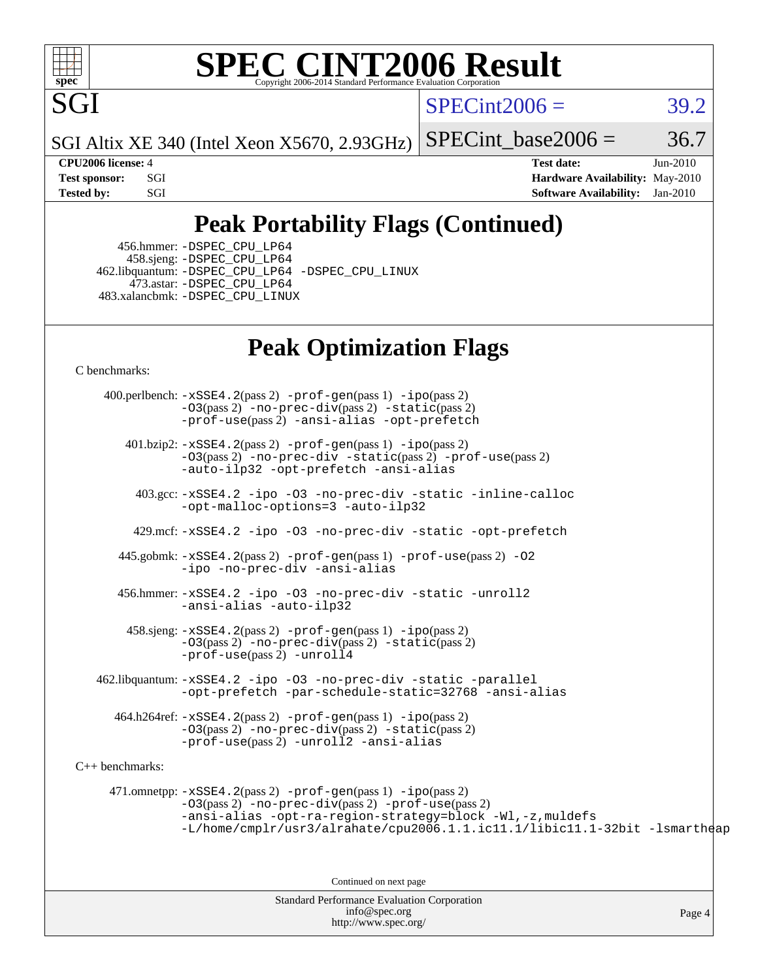

#### **[SPEC CINT2006 Result](http://www.spec.org/auto/cpu2006/Docs/result-fields.html#SPECCINT2006Result)** Copyright 2006-2014 Standard Performance Evaluation C

 $SPECint2006 = 39.2$  $SPECint2006 = 39.2$ 

SGI Altix XE 340 (Intel Xeon X5670, 2.93GHz)

SPECint base2006 =  $36.7$ 

**[CPU2006 license:](http://www.spec.org/auto/cpu2006/Docs/result-fields.html#CPU2006license)** 4 **[Test date:](http://www.spec.org/auto/cpu2006/Docs/result-fields.html#Testdate)** Jun-2010 **[Test sponsor:](http://www.spec.org/auto/cpu2006/Docs/result-fields.html#Testsponsor)** SGI **[Hardware Availability:](http://www.spec.org/auto/cpu2006/Docs/result-fields.html#HardwareAvailability)** May-2010 **[Tested by:](http://www.spec.org/auto/cpu2006/Docs/result-fields.html#Testedby)** SGI SOL SERVICE SERVICE SERVICE 2010 SOFtware Availability: Jan-2010

## **[Peak Portability Flags \(Continued\)](http://www.spec.org/auto/cpu2006/Docs/result-fields.html#PeakPortabilityFlags)**

 456.hmmer: [-DSPEC\\_CPU\\_LP64](http://www.spec.org/cpu2006/results/res2010q3/cpu2006-20100627-12022.flags.html#suite_peakPORTABILITY456_hmmer_DSPEC_CPU_LP64) 458.sjeng: [-DSPEC\\_CPU\\_LP64](http://www.spec.org/cpu2006/results/res2010q3/cpu2006-20100627-12022.flags.html#suite_peakPORTABILITY458_sjeng_DSPEC_CPU_LP64) 462.libquantum: [-DSPEC\\_CPU\\_LP64](http://www.spec.org/cpu2006/results/res2010q3/cpu2006-20100627-12022.flags.html#suite_peakPORTABILITY462_libquantum_DSPEC_CPU_LP64) [-DSPEC\\_CPU\\_LINUX](http://www.spec.org/cpu2006/results/res2010q3/cpu2006-20100627-12022.flags.html#b462.libquantum_peakCPORTABILITY_DSPEC_CPU_LINUX) 473.astar: [-DSPEC\\_CPU\\_LP64](http://www.spec.org/cpu2006/results/res2010q3/cpu2006-20100627-12022.flags.html#suite_peakPORTABILITY473_astar_DSPEC_CPU_LP64) 483.xalancbmk: [-DSPEC\\_CPU\\_LINUX](http://www.spec.org/cpu2006/results/res2010q3/cpu2006-20100627-12022.flags.html#b483.xalancbmk_peakCXXPORTABILITY_DSPEC_CPU_LINUX)

### **[Peak Optimization Flags](http://www.spec.org/auto/cpu2006/Docs/result-fields.html#PeakOptimizationFlags)**

[C benchmarks](http://www.spec.org/auto/cpu2006/Docs/result-fields.html#Cbenchmarks):

 400.perlbench: [-xSSE4.2](http://www.spec.org/cpu2006/results/res2010q3/cpu2006-20100627-12022.flags.html#user_peakPASS2_CFLAGSPASS2_LDCFLAGS400_perlbench_f-xSSE42_f91528193cf0b216347adb8b939d4107)(pass 2) [-prof-gen](http://www.spec.org/cpu2006/results/res2010q3/cpu2006-20100627-12022.flags.html#user_peakPASS1_CFLAGSPASS1_LDCFLAGS400_perlbench_prof_gen_e43856698f6ca7b7e442dfd80e94a8fc)(pass 1) [-ipo](http://www.spec.org/cpu2006/results/res2010q3/cpu2006-20100627-12022.flags.html#user_peakPASS2_CFLAGSPASS2_LDCFLAGS400_perlbench_f-ipo)(pass 2) [-O3](http://www.spec.org/cpu2006/results/res2010q3/cpu2006-20100627-12022.flags.html#user_peakPASS2_CFLAGSPASS2_LDCFLAGS400_perlbench_f-O3)(pass 2) [-no-prec-div](http://www.spec.org/cpu2006/results/res2010q3/cpu2006-20100627-12022.flags.html#user_peakPASS2_CFLAGSPASS2_LDCFLAGS400_perlbench_f-no-prec-div)(pass 2) [-static](http://www.spec.org/cpu2006/results/res2010q3/cpu2006-20100627-12022.flags.html#user_peakPASS2_CFLAGSPASS2_LDCFLAGS400_perlbench_f-static)(pass 2) [-prof-use](http://www.spec.org/cpu2006/results/res2010q3/cpu2006-20100627-12022.flags.html#user_peakPASS2_CFLAGSPASS2_LDCFLAGS400_perlbench_prof_use_bccf7792157ff70d64e32fe3e1250b55)(pass 2) [-ansi-alias](http://www.spec.org/cpu2006/results/res2010q3/cpu2006-20100627-12022.flags.html#user_peakCOPTIMIZE400_perlbench_f-ansi-alias) [-opt-prefetch](http://www.spec.org/cpu2006/results/res2010q3/cpu2006-20100627-12022.flags.html#user_peakCOPTIMIZE400_perlbench_f-opt-prefetch) 401.bzip2: [-xSSE4.2](http://www.spec.org/cpu2006/results/res2010q3/cpu2006-20100627-12022.flags.html#user_peakPASS2_CFLAGSPASS2_LDCFLAGS401_bzip2_f-xSSE42_f91528193cf0b216347adb8b939d4107)(pass 2) [-prof-gen](http://www.spec.org/cpu2006/results/res2010q3/cpu2006-20100627-12022.flags.html#user_peakPASS1_CFLAGSPASS1_LDCFLAGS401_bzip2_prof_gen_e43856698f6ca7b7e442dfd80e94a8fc)(pass 1) [-ipo](http://www.spec.org/cpu2006/results/res2010q3/cpu2006-20100627-12022.flags.html#user_peakPASS2_CFLAGSPASS2_LDCFLAGS401_bzip2_f-ipo)(pass 2) [-O3](http://www.spec.org/cpu2006/results/res2010q3/cpu2006-20100627-12022.flags.html#user_peakPASS2_CFLAGSPASS2_LDCFLAGS401_bzip2_f-O3)(pass 2) [-no-prec-div](http://www.spec.org/cpu2006/results/res2010q3/cpu2006-20100627-12022.flags.html#user_peakCOPTIMIZEPASS2_CFLAGSPASS2_LDCFLAGS401_bzip2_f-no-prec-div) [-static](http://www.spec.org/cpu2006/results/res2010q3/cpu2006-20100627-12022.flags.html#user_peakPASS2_CFLAGSPASS2_LDCFLAGS401_bzip2_f-static)(pass 2) [-prof-use](http://www.spec.org/cpu2006/results/res2010q3/cpu2006-20100627-12022.flags.html#user_peakPASS2_CFLAGSPASS2_LDCFLAGS401_bzip2_prof_use_bccf7792157ff70d64e32fe3e1250b55)(pass 2) [-auto-ilp32](http://www.spec.org/cpu2006/results/res2010q3/cpu2006-20100627-12022.flags.html#user_peakCOPTIMIZE401_bzip2_f-auto-ilp32) [-opt-prefetch](http://www.spec.org/cpu2006/results/res2010q3/cpu2006-20100627-12022.flags.html#user_peakCOPTIMIZE401_bzip2_f-opt-prefetch) [-ansi-alias](http://www.spec.org/cpu2006/results/res2010q3/cpu2006-20100627-12022.flags.html#user_peakCOPTIMIZE401_bzip2_f-ansi-alias) 403.gcc: [-xSSE4.2](http://www.spec.org/cpu2006/results/res2010q3/cpu2006-20100627-12022.flags.html#user_peakCOPTIMIZE403_gcc_f-xSSE42_f91528193cf0b216347adb8b939d4107) [-ipo](http://www.spec.org/cpu2006/results/res2010q3/cpu2006-20100627-12022.flags.html#user_peakCOPTIMIZE403_gcc_f-ipo) [-O3](http://www.spec.org/cpu2006/results/res2010q3/cpu2006-20100627-12022.flags.html#user_peakCOPTIMIZE403_gcc_f-O3) [-no-prec-div](http://www.spec.org/cpu2006/results/res2010q3/cpu2006-20100627-12022.flags.html#user_peakCOPTIMIZE403_gcc_f-no-prec-div) [-static](http://www.spec.org/cpu2006/results/res2010q3/cpu2006-20100627-12022.flags.html#user_peakCOPTIMIZE403_gcc_f-static) [-inline-calloc](http://www.spec.org/cpu2006/results/res2010q3/cpu2006-20100627-12022.flags.html#user_peakCOPTIMIZE403_gcc_f-inline-calloc) [-opt-malloc-options=3](http://www.spec.org/cpu2006/results/res2010q3/cpu2006-20100627-12022.flags.html#user_peakCOPTIMIZE403_gcc_f-opt-malloc-options_13ab9b803cf986b4ee62f0a5998c2238) [-auto-ilp32](http://www.spec.org/cpu2006/results/res2010q3/cpu2006-20100627-12022.flags.html#user_peakCOPTIMIZE403_gcc_f-auto-ilp32) 429.mcf: [-xSSE4.2](http://www.spec.org/cpu2006/results/res2010q3/cpu2006-20100627-12022.flags.html#user_peakCOPTIMIZE429_mcf_f-xSSE42_f91528193cf0b216347adb8b939d4107) [-ipo](http://www.spec.org/cpu2006/results/res2010q3/cpu2006-20100627-12022.flags.html#user_peakCOPTIMIZE429_mcf_f-ipo) [-O3](http://www.spec.org/cpu2006/results/res2010q3/cpu2006-20100627-12022.flags.html#user_peakCOPTIMIZE429_mcf_f-O3) [-no-prec-div](http://www.spec.org/cpu2006/results/res2010q3/cpu2006-20100627-12022.flags.html#user_peakCOPTIMIZE429_mcf_f-no-prec-div) [-static](http://www.spec.org/cpu2006/results/res2010q3/cpu2006-20100627-12022.flags.html#user_peakCOPTIMIZE429_mcf_f-static) [-opt-prefetch](http://www.spec.org/cpu2006/results/res2010q3/cpu2006-20100627-12022.flags.html#user_peakCOPTIMIZE429_mcf_f-opt-prefetch) 445.gobmk: [-xSSE4.2](http://www.spec.org/cpu2006/results/res2010q3/cpu2006-20100627-12022.flags.html#user_peakPASS2_CFLAGSPASS2_LDCFLAGS445_gobmk_f-xSSE42_f91528193cf0b216347adb8b939d4107)(pass 2) [-prof-gen](http://www.spec.org/cpu2006/results/res2010q3/cpu2006-20100627-12022.flags.html#user_peakPASS1_CFLAGSPASS1_LDCFLAGS445_gobmk_prof_gen_e43856698f6ca7b7e442dfd80e94a8fc)(pass 1) [-prof-use](http://www.spec.org/cpu2006/results/res2010q3/cpu2006-20100627-12022.flags.html#user_peakPASS2_CFLAGSPASS2_LDCFLAGS445_gobmk_prof_use_bccf7792157ff70d64e32fe3e1250b55)(pass 2) [-O2](http://www.spec.org/cpu2006/results/res2010q3/cpu2006-20100627-12022.flags.html#user_peakCOPTIMIZE445_gobmk_f-O2) [-ipo](http://www.spec.org/cpu2006/results/res2010q3/cpu2006-20100627-12022.flags.html#user_peakCOPTIMIZE445_gobmk_f-ipo) [-no-prec-div](http://www.spec.org/cpu2006/results/res2010q3/cpu2006-20100627-12022.flags.html#user_peakCOPTIMIZE445_gobmk_f-no-prec-div) [-ansi-alias](http://www.spec.org/cpu2006/results/res2010q3/cpu2006-20100627-12022.flags.html#user_peakCOPTIMIZE445_gobmk_f-ansi-alias) 456.hmmer: [-xSSE4.2](http://www.spec.org/cpu2006/results/res2010q3/cpu2006-20100627-12022.flags.html#user_peakCOPTIMIZE456_hmmer_f-xSSE42_f91528193cf0b216347adb8b939d4107) [-ipo](http://www.spec.org/cpu2006/results/res2010q3/cpu2006-20100627-12022.flags.html#user_peakCOPTIMIZE456_hmmer_f-ipo) [-O3](http://www.spec.org/cpu2006/results/res2010q3/cpu2006-20100627-12022.flags.html#user_peakCOPTIMIZE456_hmmer_f-O3) [-no-prec-div](http://www.spec.org/cpu2006/results/res2010q3/cpu2006-20100627-12022.flags.html#user_peakCOPTIMIZE456_hmmer_f-no-prec-div) [-static](http://www.spec.org/cpu2006/results/res2010q3/cpu2006-20100627-12022.flags.html#user_peakCOPTIMIZE456_hmmer_f-static) [-unroll2](http://www.spec.org/cpu2006/results/res2010q3/cpu2006-20100627-12022.flags.html#user_peakCOPTIMIZE456_hmmer_f-unroll_784dae83bebfb236979b41d2422d7ec2) [-ansi-alias](http://www.spec.org/cpu2006/results/res2010q3/cpu2006-20100627-12022.flags.html#user_peakCOPTIMIZE456_hmmer_f-ansi-alias) [-auto-ilp32](http://www.spec.org/cpu2006/results/res2010q3/cpu2006-20100627-12022.flags.html#user_peakCOPTIMIZE456_hmmer_f-auto-ilp32) 458.sjeng: [-xSSE4.2](http://www.spec.org/cpu2006/results/res2010q3/cpu2006-20100627-12022.flags.html#user_peakPASS2_CFLAGSPASS2_LDCFLAGS458_sjeng_f-xSSE42_f91528193cf0b216347adb8b939d4107)(pass 2) [-prof-gen](http://www.spec.org/cpu2006/results/res2010q3/cpu2006-20100627-12022.flags.html#user_peakPASS1_CFLAGSPASS1_LDCFLAGS458_sjeng_prof_gen_e43856698f6ca7b7e442dfd80e94a8fc)(pass 1) [-ipo](http://www.spec.org/cpu2006/results/res2010q3/cpu2006-20100627-12022.flags.html#user_peakPASS2_CFLAGSPASS2_LDCFLAGS458_sjeng_f-ipo)(pass 2) [-O3](http://www.spec.org/cpu2006/results/res2010q3/cpu2006-20100627-12022.flags.html#user_peakPASS2_CFLAGSPASS2_LDCFLAGS458_sjeng_f-O3)(pass 2) [-no-prec-div](http://www.spec.org/cpu2006/results/res2010q3/cpu2006-20100627-12022.flags.html#user_peakPASS2_CFLAGSPASS2_LDCFLAGS458_sjeng_f-no-prec-div)(pass 2) [-static](http://www.spec.org/cpu2006/results/res2010q3/cpu2006-20100627-12022.flags.html#user_peakPASS2_CFLAGSPASS2_LDCFLAGS458_sjeng_f-static)(pass 2) [-prof-use](http://www.spec.org/cpu2006/results/res2010q3/cpu2006-20100627-12022.flags.html#user_peakPASS2_CFLAGSPASS2_LDCFLAGS458_sjeng_prof_use_bccf7792157ff70d64e32fe3e1250b55)(pass 2) [-unroll4](http://www.spec.org/cpu2006/results/res2010q3/cpu2006-20100627-12022.flags.html#user_peakCOPTIMIZE458_sjeng_f-unroll_4e5e4ed65b7fd20bdcd365bec371b81f) 462.libquantum: [-xSSE4.2](http://www.spec.org/cpu2006/results/res2010q3/cpu2006-20100627-12022.flags.html#user_peakCOPTIMIZE462_libquantum_f-xSSE42_f91528193cf0b216347adb8b939d4107) [-ipo](http://www.spec.org/cpu2006/results/res2010q3/cpu2006-20100627-12022.flags.html#user_peakCOPTIMIZE462_libquantum_f-ipo) [-O3](http://www.spec.org/cpu2006/results/res2010q3/cpu2006-20100627-12022.flags.html#user_peakCOPTIMIZE462_libquantum_f-O3) [-no-prec-div](http://www.spec.org/cpu2006/results/res2010q3/cpu2006-20100627-12022.flags.html#user_peakCOPTIMIZE462_libquantum_f-no-prec-div) [-static](http://www.spec.org/cpu2006/results/res2010q3/cpu2006-20100627-12022.flags.html#user_peakCOPTIMIZE462_libquantum_f-static) [-parallel](http://www.spec.org/cpu2006/results/res2010q3/cpu2006-20100627-12022.flags.html#user_peakCOPTIMIZE462_libquantum_f-parallel) [-opt-prefetch](http://www.spec.org/cpu2006/results/res2010q3/cpu2006-20100627-12022.flags.html#user_peakCOPTIMIZE462_libquantum_f-opt-prefetch) [-par-schedule-static=32768](http://www.spec.org/cpu2006/results/res2010q3/cpu2006-20100627-12022.flags.html#user_peakCOPTIMIZE462_libquantum_f-par-schedule_9386bcd99ba64e99ee01d1aafefddd14) [-ansi-alias](http://www.spec.org/cpu2006/results/res2010q3/cpu2006-20100627-12022.flags.html#user_peakCOPTIMIZE462_libquantum_f-ansi-alias) 464.h264ref: [-xSSE4.2](http://www.spec.org/cpu2006/results/res2010q3/cpu2006-20100627-12022.flags.html#user_peakPASS2_CFLAGSPASS2_LDCFLAGS464_h264ref_f-xSSE42_f91528193cf0b216347adb8b939d4107)(pass 2) [-prof-gen](http://www.spec.org/cpu2006/results/res2010q3/cpu2006-20100627-12022.flags.html#user_peakPASS1_CFLAGSPASS1_LDCFLAGS464_h264ref_prof_gen_e43856698f6ca7b7e442dfd80e94a8fc)(pass 1) [-ipo](http://www.spec.org/cpu2006/results/res2010q3/cpu2006-20100627-12022.flags.html#user_peakPASS2_CFLAGSPASS2_LDCFLAGS464_h264ref_f-ipo)(pass 2) [-O3](http://www.spec.org/cpu2006/results/res2010q3/cpu2006-20100627-12022.flags.html#user_peakPASS2_CFLAGSPASS2_LDCFLAGS464_h264ref_f-O3)(pass 2) [-no-prec-div](http://www.spec.org/cpu2006/results/res2010q3/cpu2006-20100627-12022.flags.html#user_peakPASS2_CFLAGSPASS2_LDCFLAGS464_h264ref_f-no-prec-div)(pass 2) [-static](http://www.spec.org/cpu2006/results/res2010q3/cpu2006-20100627-12022.flags.html#user_peakPASS2_CFLAGSPASS2_LDCFLAGS464_h264ref_f-static)(pass 2) [-prof-use](http://www.spec.org/cpu2006/results/res2010q3/cpu2006-20100627-12022.flags.html#user_peakPASS2_CFLAGSPASS2_LDCFLAGS464_h264ref_prof_use_bccf7792157ff70d64e32fe3e1250b55)(pass 2) [-unroll2](http://www.spec.org/cpu2006/results/res2010q3/cpu2006-20100627-12022.flags.html#user_peakCOPTIMIZE464_h264ref_f-unroll_784dae83bebfb236979b41d2422d7ec2) [-ansi-alias](http://www.spec.org/cpu2006/results/res2010q3/cpu2006-20100627-12022.flags.html#user_peakCOPTIMIZE464_h264ref_f-ansi-alias) [C++ benchmarks:](http://www.spec.org/auto/cpu2006/Docs/result-fields.html#CXXbenchmarks) 471.omnetpp: [-xSSE4.2](http://www.spec.org/cpu2006/results/res2010q3/cpu2006-20100627-12022.flags.html#user_peakPASS2_CXXFLAGSPASS2_LDCXXFLAGS471_omnetpp_f-xSSE42_f91528193cf0b216347adb8b939d4107)(pass 2) [-prof-gen](http://www.spec.org/cpu2006/results/res2010q3/cpu2006-20100627-12022.flags.html#user_peakPASS1_CXXFLAGSPASS1_LDCXXFLAGS471_omnetpp_prof_gen_e43856698f6ca7b7e442dfd80e94a8fc)(pass 1) [-ipo](http://www.spec.org/cpu2006/results/res2010q3/cpu2006-20100627-12022.flags.html#user_peakPASS2_CXXFLAGSPASS2_LDCXXFLAGS471_omnetpp_f-ipo)(pass 2) [-O3](http://www.spec.org/cpu2006/results/res2010q3/cpu2006-20100627-12022.flags.html#user_peakPASS2_CXXFLAGSPASS2_LDCXXFLAGS471_omnetpp_f-O3)(pass 2) [-no-prec-div](http://www.spec.org/cpu2006/results/res2010q3/cpu2006-20100627-12022.flags.html#user_peakPASS2_CXXFLAGSPASS2_LDCXXFLAGS471_omnetpp_f-no-prec-div)(pass 2) [-prof-use](http://www.spec.org/cpu2006/results/res2010q3/cpu2006-20100627-12022.flags.html#user_peakPASS2_CXXFLAGSPASS2_LDCXXFLAGS471_omnetpp_prof_use_bccf7792157ff70d64e32fe3e1250b55)(pass 2) [-ansi-alias](http://www.spec.org/cpu2006/results/res2010q3/cpu2006-20100627-12022.flags.html#user_peakCXXOPTIMIZE471_omnetpp_f-ansi-alias) [-opt-ra-region-strategy=block](http://www.spec.org/cpu2006/results/res2010q3/cpu2006-20100627-12022.flags.html#user_peakCXXOPTIMIZE471_omnetpp_f-opt-ra-region-strategy-block_a0a37c372d03933b2a18d4af463c1f69) [-Wl,-z,muldefs](http://www.spec.org/cpu2006/results/res2010q3/cpu2006-20100627-12022.flags.html#user_peakEXTRA_LDFLAGS471_omnetpp_link_force_multiple1_74079c344b956b9658436fd1b6dd3a8a) [-L/home/cmplr/usr3/alrahate/cpu2006.1.1.ic11.1/libic11.1-32bit -lsmartheap](http://www.spec.org/cpu2006/results/res2010q3/cpu2006-20100627-12022.flags.html#user_peakEXTRA_LIBS471_omnetpp_SmartHeap_d86dffe4a79b79ef8890d5cce17030c3)

Continued on next page

Standard Performance Evaluation Corporation [info@spec.org](mailto:info@spec.org) <http://www.spec.org/>

Page 4